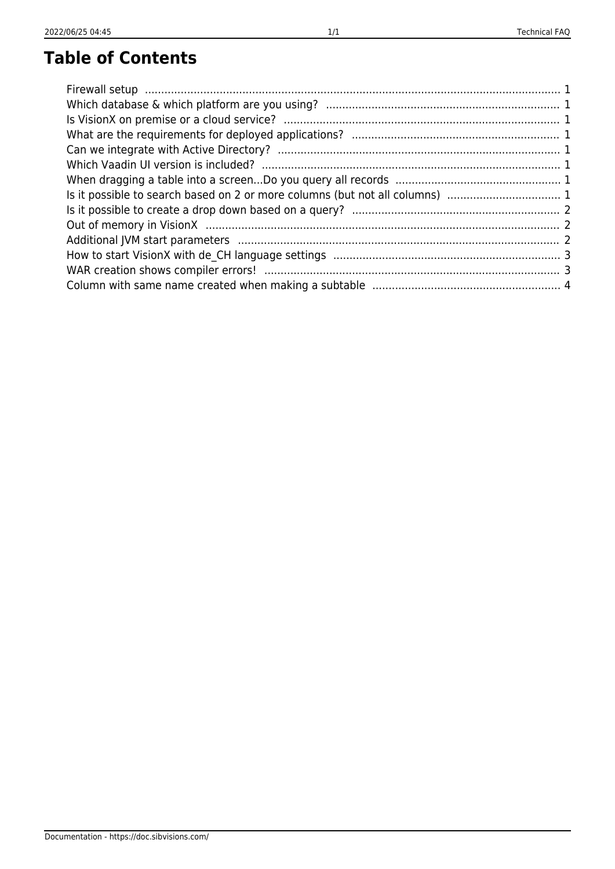# **Table of Contents**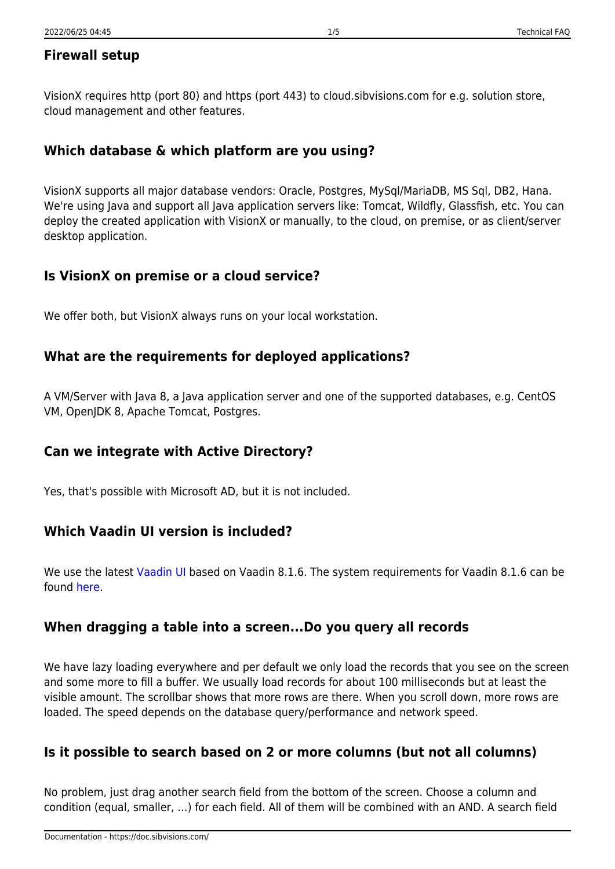# <span id="page-1-0"></span>**Firewall setup**

VisionX requires http (port 80) and https (port 443) to cloud.sibvisions.com for e.g. solution store, cloud management and other features.

# <span id="page-1-1"></span>**Which database & which platform are you using?**

VisionX supports all major database vendors: Oracle, Postgres, MySql/MariaDB, MS Sql, DB2, Hana. We're using Java and support all Java application servers like: Tomcat, Wildfly, Glassfish, etc. You can deploy the created application with VisionX or manually, to the cloud, on premise, or as client/server desktop application.

### <span id="page-1-2"></span>**Is VisionX on premise or a cloud service?**

We offer both, but VisionX always runs on your local workstation.

### <span id="page-1-3"></span>**What are the requirements for deployed applications?**

A VM/Server with Java 8, a Java application server and one of the supported databases, e.g. CentOS VM, OpenJDK 8, Apache Tomcat, Postgres.

#### <span id="page-1-4"></span>**Can we integrate with Active Directory?**

Yes, that's possible with Microsoft AD, but it is not included.

# <span id="page-1-5"></span>**Which Vaadin UI version is included?**

We use the latest [Vaadin UI](https://sourceforge.net/projects/jvx/files/vaadin%20UI/) based on Vaadin 8.1.6. The system requirements for Vaadin 8.1.6 can be found [here.](https://vaadin.com/download/release/8.1/8.1.6/release-notes.html#supportedversions)

# <span id="page-1-6"></span>**When dragging a table into a screen...Do you query all records**

We have lazy loading everywhere and per default we only load the records that you see on the screen and some more to fill a buffer. We usually load records for about 100 milliseconds but at least the visible amount. The scrollbar shows that more rows are there. When you scroll down, more rows are loaded. The speed depends on the database query/performance and network speed.

# <span id="page-1-7"></span>**Is it possible to search based on 2 or more columns (but not all columns)**

No problem, just drag another search field from the bottom of the screen. Choose a column and condition (equal, smaller, …) for each field. All of them will be combined with an AND. A search field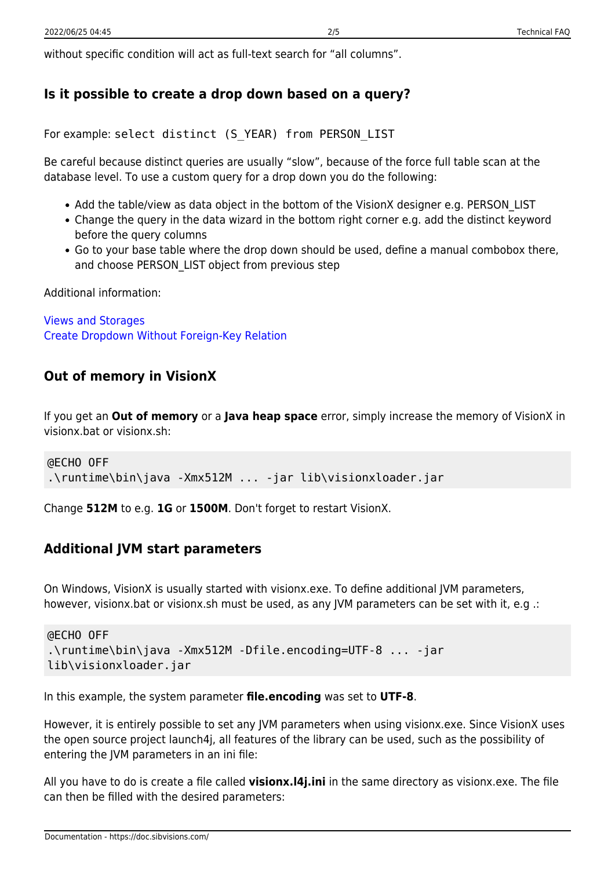without specific condition will act as full-text search for "all columns".

### <span id="page-2-0"></span>**Is it possible to create a drop down based on a query?**

For example: select distinct (S\_YEAR) from PERSON\_LIST

Be careful because distinct queries are usually "slow", because of the force full table scan at the database level. To use a custom query for a drop down you do the following:

- Add the table/view as data object in the bottom of the VisionX designer e.g. PERSON LIST
- Change the query in the data wizard in the bottom right corner e.g. add the distinct keyword before the query columns
- Go to your base table where the drop down should be used, define a manual combobox there, and choose PERSON\_LIST object from previous step

Additional information:

[Views and Storages](https://doc.sibvisions.com/visionx/data_modeling_and_representation#views_and_storages) [Create Dropdown Without Foreign-Key Relation](https://doc.sibvisions.com/visionx/data_modeling_and_representation#create_dropdown_without_foreign-key_relation)

#### <span id="page-2-1"></span>**Out of memory in VisionX**

If you get an **Out of memory** or a **Java heap space** error, simply increase the memory of VisionX in visionx.bat or visionx.sh:

```
@ECHO OFF
.\runtime\bin\java -Xmx512M ... -jar lib\visionxloader.jar
```
Change **512M** to e.g. **1G** or **1500M**. Don't forget to restart VisionX.

#### <span id="page-2-2"></span>**Additional JVM start parameters**

On Windows, VisionX is usually started with visionx.exe. To define additional JVM parameters, however, visionx.bat or visionx.sh must be used, as any JVM parameters can be set with it, e.g .:

```
@ECHO OFF
.\runtime\bin\java -Xmx512M -Dfile.encoding=UTF-8 ... -jar
lib\visionxloader.jar
```
In this example, the system parameter **file.encoding** was set to **UTF-8**.

However, it is entirely possible to set any JVM parameters when using visionx.exe. Since VisionX uses the open source project launch4j, all features of the library can be used, such as the possibility of entering the JVM parameters in an ini file:

All you have to do is create a file called **visionx.l4j.ini** in the same directory as visionx.exe. The file can then be filled with the desired parameters:

Documentation - https://doc.sibvisions.com/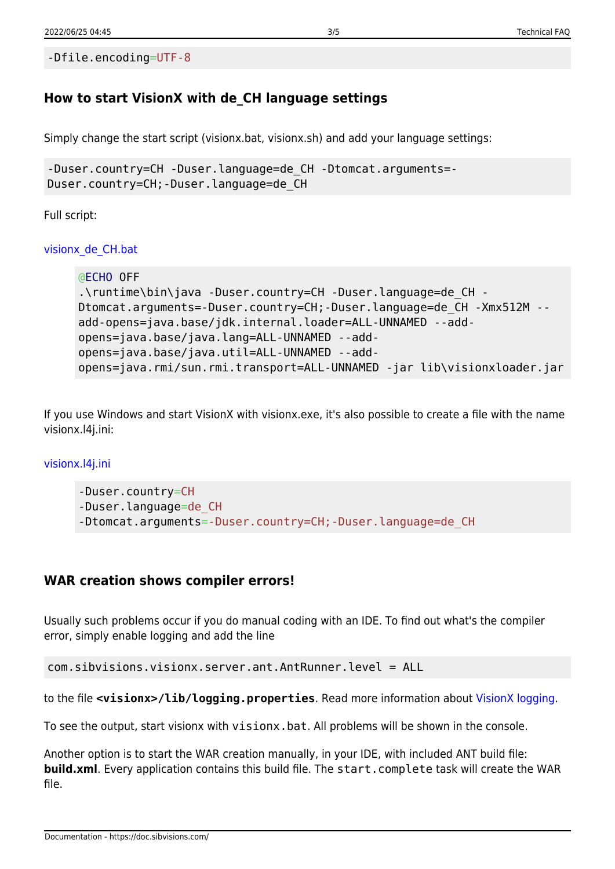```
-Dfile.encoding=UTF-8
```
# <span id="page-3-0"></span>**How to start VisionX with de\_CH language settings**

Simply change the start script (visionx.bat, visionx.sh) and add your language settings:

```
-Duser.country=CH -Duser.language=de_CH -Dtomcat.arguments=-
Duser.country=CH;-Duser.language=de_CH
```
Full script:

[visionx\\_de\\_CH.bat](https://doc.sibvisions.com/_export/code/visionx/faq_tech?codeblock=4)

```
@ECHO OFF
.\runtime\bin\java -Duser.country=CH -Duser.language=de_CH -
Dtomcat.arguments=-Duser.country=CH;-Duser.language=de CH -Xmx512M --
add-opens=java.base/jdk.internal.loader=ALL-UNNAMED --add-
opens=java.base/java.lang=ALL-UNNAMED --add-
opens=java.base/java.util=ALL-UNNAMED --add-
opens=java.rmi/sun.rmi.transport=ALL-UNNAMED -jar lib\visionxloader.jar
```
If you use Windows and start VisionX with visionx.exe, it's also possible to create a file with the name visionx.l4j.ini:

[visionx.l4j.ini](https://doc.sibvisions.com/_export/code/visionx/faq_tech?codeblock=5)

```
-Duser.country=CH
-Duser.language=de_CH
-Dtomcat.arguments=-Duser.country=CH;-Duser.language=de_CH
```
#### <span id="page-3-1"></span>**WAR creation shows compiler errors!**

Usually such problems occur if you do manual coding with an IDE. To find out what's the compiler error, simply enable logging and add the line

```
com.sibvisions.visionx.server.ant.AntRunner.level = ALL
```
to the file **<visionx>/lib/logging.properties**. Read more information about [VisionX logging](https://doc.sibvisions.com/visionx/visionx_logging).

To see the output, start visionx with visionx.bat. All problems will be shown in the console.

Another option is to start the WAR creation manually, in your IDE, with included ANT build file: **build.xml**. Every application contains this build file. The start.complete task will create the WAR file.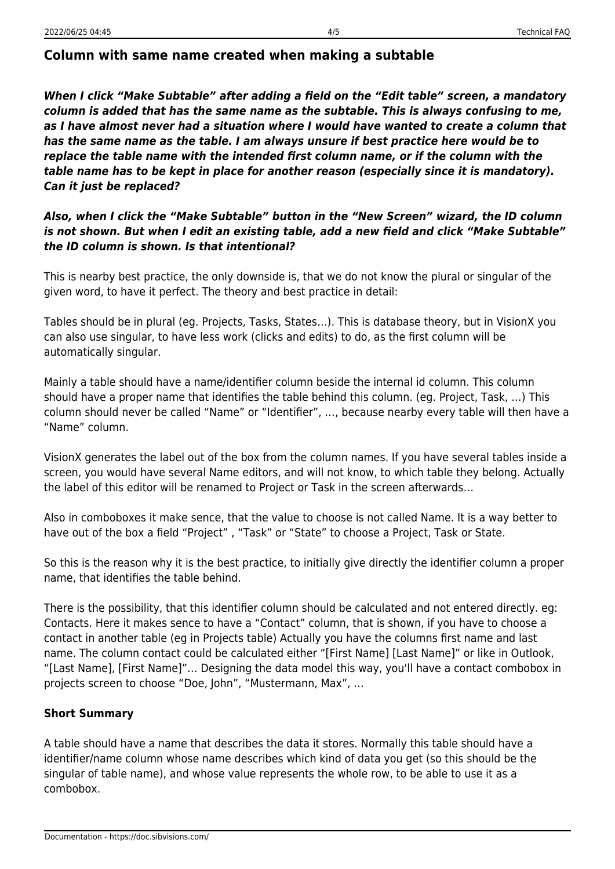#### <span id="page-4-0"></span>**Column with same name created when making a subtable**

*When I click "Make Subtable" after adding a field on the "Edit table" screen, a mandatory column is added that has the same name as the subtable. This is always confusing to me, as I have almost never had a situation where I would have wanted to create a column that has the same name as the table. I am always unsure if best practice here would be to replace the table name with the intended first column name, or if the column with the table name has to be kept in place for another reason (especially since it is mandatory). Can it just be replaced?*

#### *Also, when I click the "Make Subtable" button in the "New Screen" wizard, the ID column is not shown. But when I edit an existing table, add a new field and click "Make Subtable" the ID column is shown. Is that intentional?*

This is nearby best practice, the only downside is, that we do not know the plural or singular of the given word, to have it perfect. The theory and best practice in detail:

Tables should be in plural (eg. Projects, Tasks, States…). This is database theory, but in VisionX you can also use singular, to have less work (clicks and edits) to do, as the first column will be automatically singular.

Mainly a table should have a name/identifier column beside the internal id column. This column should have a proper name that identifies the table behind this column. (eg. Project, Task, …) This column should never be called "Name" or "Identifier", …, because nearby every table will then have a "Name" column.

VisionX generates the label out of the box from the column names. If you have several tables inside a screen, you would have several Name editors, and will not know, to which table they belong. Actually the label of this editor will be renamed to Project or Task in the screen afterwards…

Also in comboboxes it make sence, that the value to choose is not called Name. It is a way better to have out of the box a field "Project" , "Task" or "State" to choose a Project, Task or State.

So this is the reason why it is the best practice, to initially give directly the identifier column a proper name, that identifies the table behind.

There is the possibility, that this identifier column should be calculated and not entered directly. eg: Contacts. Here it makes sence to have a "Contact" column, that is shown, if you have to choose a contact in another table (eg in Projects table) Actually you have the columns first name and last name. The column contact could be calculated either "[First Name] [Last Name]" or like in Outlook, "[Last Name], [First Name]"… Designing the data model this way, you'll have a contact combobox in projects screen to choose "Doe, John", "Mustermann, Max", …

#### **Short Summary**

A table should have a name that describes the data it stores. Normally this table should have a identifier/name column whose name describes which kind of data you get (so this should be the singular of table name), and whose value represents the whole row, to be able to use it as a combobox.